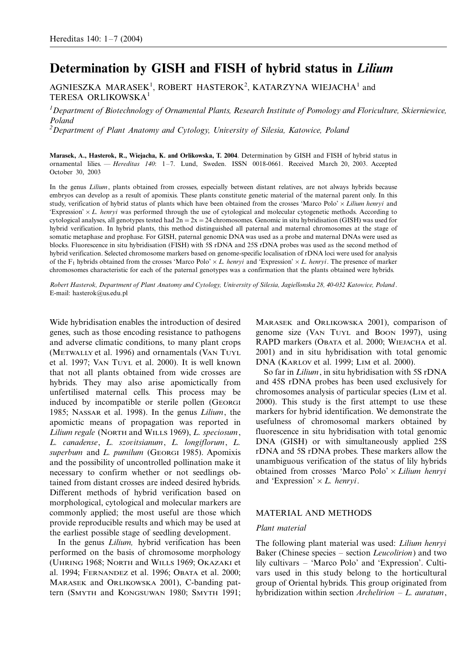# Determination by GISH and FISH of hybrid status in Lilium

AGNIESZKA MARASEK<sup>1</sup>, ROBERT HASTEROK<sup>2</sup>, KATARZYNA WIEJACHA<sup>1</sup> and TERESA ORLIKOWSKA<sup>1</sup>

 $^1$ Department of Biotechnology of Ornamental Plants, Research Institute of Pomology and Floriculture, Skierniewice, Poland

 $^{2}$ Department of Plant Anatomy and Cytology, University of Silesia, Katowice, Poland

Marasek, A., Hasterok, R., Wiejacha, K. and Orlikowska, T. 2004. Determination by GISH and FISH of hybrid status in ornamental lilies. - Hereditas 140: 1-7. Lund, Sweden. ISSN 0018-0661. Received March 20, 2003. Accepted October 30, 2003

In the genus Lilium, plants obtained from crosses, especially between distant relatives, are not always hybrids because embryos can develop as a result of apomixis. These plants constitute genetic material of the maternal parent only. In this study, verification of hybrid status of plants which have been obtained from the crosses 'Marco Polo'  $\times$  Lilium henryi and 'Expression'  $\times L$ . henryi was performed through the use of cytological and molecular cytogenetic methods. According to cytological analyses, all genotypes tested had  $2n = 2x = 24$  chromosomes. Genomic in situ hybridisation (GISH) was used for hybrid verification. In hybrid plants, this method distinguished all paternal and maternal chromosomes at the stage of somatic metaphase and prophase. For GISH, paternal genomic DNA was used as a probe and maternal DNAs were used as blocks. Fluorescence in situ hybridisation (FISH) with 5S rDNA and 25S rDNA probes was used as the second method of hybrid verification. Selected chromosome markers based on genome-specific localisation of rDNA loci were used for analysis of the F<sub>1</sub> hybrids obtained from the crosses 'Marco Polo'  $\times L$ . henryi and 'Expression'  $\times L$ . henryi. The presence of marker chromosomes characteristic for each of the paternal genotypes was a confirmation that the plants obtained were hybrids.

Robert Hasterok, Department of Plant Anatomy and Cytology, University of Silesia, Jagiellonska 28, 40-032 Katowice, Poland. E-mail: hasterok@us.edu.pl

Wide hybridisation enables the introduction of desired genes, such as those encoding resistance to pathogens and adverse climatic conditions, to many plant crops (METWALLY et al. 1996) and ornamentals (VAN TUYL et al. 1997; VAN TUYL et al. 2000). It is well known that not all plants obtained from wide crosses are hybrids. They may also arise apomictically from unfertilised maternal cells. This process may be induced by incompatible or sterile pollen (GEORGI 1985; NASSAR et al. 1998). In the genus Lilium, the apomictic means of propagation was reported in Lilium regale (NORTH and WILLS 1969), L. speciosum, L. canadense, L. szovitsianum, L. longiflorum, L. superbum and L. pumilum (GEORGI 1985). Apomixis and the possibility of uncontrolled pollination make it necessary to confirm whether or not seedlings obtained from distant crosses are indeed desired hybrids. Different methods of hybrid verification based on morphological, cytological and molecular markers are commonly applied; the most useful are those which provide reproducible results and which may be used at the earliest possible stage of seedling development.

In the genus *Lilium*, hybrid verification has been performed on the basis of chromosome morphology (UHRING 1968; NORTH and WILLS 1969; OKAZAKI et al. 1994; FERNANDEZ et al. 1996; OBATA et al. 2000; MARASEK and ORLIKOWSKA 2001), C-banding pattern (SMYTH and KONGSUWAN 1980; SMYTH 1991;

MARASEK and ORLIKOWSKA 2001), comparison of genome size (VAN TUYL and BOON 1997), using RAPD markers (OBATA et al. 2000; WIEJACHA et al. 2001) and in situ hybridisation with total genomic DNA (KARLOV et al. 1999; LIM et al. 2000).

So far in Lilium, in situ hybridisation with 5S rDNA and 45S rDNA probes has been used exclusively for chromosomes analysis of particular species (LIM et al. 2000). This study is the first attempt to use these markers for hybrid identification. We demonstrate the usefulness of chromosomal markers obtained by fluorescence in situ hybridisation with total genomic DNA (GISH) or with simultaneously applied 25S rDNA and 5S rDNA probes. These markers allow the unambiguous verification of the status of lily hybrids obtained from crosses 'Marco Polo'  $\times$  Lilium henryi and 'Expression'  $\times$  *L. henryi.* 

## MATERIAL AND METHODS

#### Plant material

The following plant material was used: Lilium henryi Baker (Chinese species – section Leucolirion) and two lily cultivars – 'Marco Polo' and 'Expression'. Cultivars used in this study belong to the horticultural group of Oriental hybrids. This group originated from hybridization within section  $Archelirion - L$ . auratum,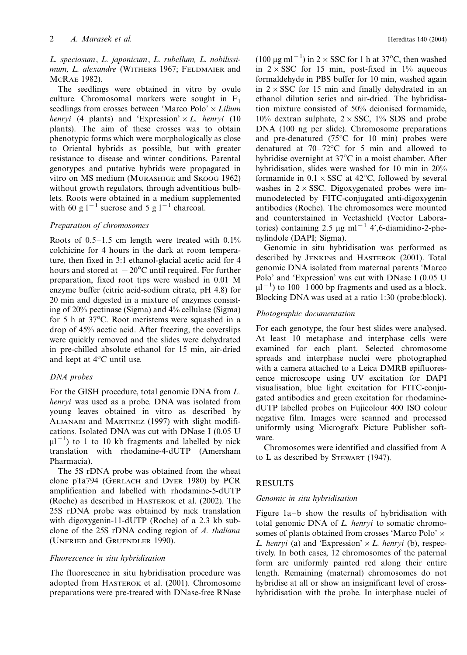L. speciosum, L. japonicum, L. rubellum, L. nobilissimum, L. alexandre (WITHERS 1967; FELDMAIER and MCRAE 1982).

The seedlings were obtained in vitro by ovule culture. Chromosomal markers were sought in  $F_1$ seedlings from crosses between 'Marco Polo'  $\times$  Lilium henryi (4 plants) and 'Expression'  $\times L$ . henryi (10 plants). The aim of these crosses was to obtain phenotypic forms which were morphologically as close to Oriental hybrids as possible, but with greater resistance to disease and winter conditions. Parental genotypes and putative hybrids were propagated in vitro on MS medium (MURASHIGE and SKOOG 1962) without growth regulators, through adventitious bulblets. Roots were obtained in a medium supplemented with 60 g  $1^{-1}$  sucrose and 5 g  $1^{-1}$  charcoal.

# Preparation of chromosomes

Roots of  $0.5-1.5$  cm length were treated with  $0.1\%$ colchicine for 4 hours in the dark at room temperature, then fixed in 3:1 ethanol-glacial acetic acid for 4 hours and stored at  $-20^{\circ}$ C until required. For further preparation, fixed root tips were washed in 0.01 M enzyme buffer (citric acid-sodium citrate, pH 4.8) for 20 min and digested in a mixture of enzymes consisting of 20% pectinase (Sigma) and 4% cellulase (Sigma) for 5 h at 37°C. Root meristems were squashed in a drop of 45% acetic acid. After freezing, the coverslips were quickly removed and the slides were dehydrated in pre-chilled absolute ethanol for 15 min, air-dried and kept at 4°C until use.

#### DNA probes

For the GISH procedure, total genomic DNA from L. henryi was used as a probe. DNA was isolated from young leaves obtained in vitro as described by ALJANABI and MARTINEZ (1997) with slight modifications. Isolated DNA was cut with DNase I (0.05 U  $\mu$ l<sup>-1</sup>) to 1 to 10 kb fragments and labelled by nick translation with rhodamine-4-dUTP (Amersham Pharmacia).

The 5S rDNA probe was obtained from the wheat clone pTa794 (GERLACH and DYER 1980) by PCR amplification and labelled with rhodamine-5-dUTP (Roche) as described in HASTEROK et al. (2002). The 25S rDNA probe was obtained by nick translation with digoxygenin-11-dUTP (Roche) of a 2.3 kb subclone of the 25S rDNA coding region of A. thaliana (UNFRIED and GRUENDLER 1990).

#### Fluorescence in situ hybridisation

The fluorescence in situ hybridisation procedure was adopted from HASTEROK et al. (2001). Chromosome preparations were pre-treated with DNase-free RNase

(100  $\mu$ g ml<sup>-1</sup>) in 2 × SSC for 1 h at 37°C, then washed in  $2 \times SSC$  for 15 min, post-fixed in 1% aqueous formaldehyde in PBS buffer for 10 min, washed again in  $2 \times SSC$  for 15 min and finally dehydrated in an ethanol dilution series and air-dried. The hybridisation mixture consisted of 50% deionised formamide, 10% dextran sulphate,  $2 \times SSC$ , 1% SDS and probe DNA (100 ng per slide). Chromosome preparations and pre-denatured ( $75^{\circ}$ C for 10 min) probes were denatured at  $70-72^{\circ}$ C for 5 min and allowed to hybridise overnight at 37°C in a moist chamber. After hybridisation, slides were washed for 10 min in 20% formamide in  $0.1 \times$  SSC at 42<sup>o</sup>C, followed by several washes in  $2 \times SSC$ . Digoxygenated probes were immunodetected by FITC-conjugated anti-digoxygenin antibodies (Roche). The chromosomes were mounted and counterstained in Vectashield (Vector Laboratories) containing 2.5  $\mu$ g ml<sup>-1</sup> 4',6-diamidino-2-phenylindole (DAPI; Sigma).

Genomic in situ hybridisation was performed as described by JENKINS and HASTEROK (2001). Total genomic DNA isolated from maternal parents 'Marco Polo' and 'Expression' was cut with DNase I (0.05 U  $\mu$ l<sup>-1</sup>) to 100-1 000 bp fragments and used as a block. Blocking DNA was used at a ratio 1:30 (probe:block).

#### Photographic documentation

For each genotype, the four best slides were analysed. At least 10 metaphase and interphase cells were examined for each plant. Selected chromosome spreads and interphase nuclei were photographed with a camera attached to a Leica DMRB epifluorescence microscope using UV excitation for DAPI visualisation, blue light excitation for FITC-conjugated antibodies and green excitation for rhodaminedUTP labelled probes on Fujicolour 400 ISO colour negative film. Images were scanned and processed uniformly using Micrografx Picture Publisher software.

Chromosomes were identified and classified from A to L as described by STEWART (1947).

#### RESULTS

#### Genomic in situ hybridisation

Figure 1a–b show the results of hybridisation with total genomic DNA of L. henryi to somatic chromosomes of plants obtained from crosses 'Marco Polo'  $\times$ L. henryi (a) and 'Expression'  $\times$  L. henryi (b), respectively. In both cases, 12 chromosomes of the paternal form are uniformly painted red along their entire length. Remaining (maternal) chromosomes do not hybridise at all or show an insignificant level of crosshybridisation with the probe. In interphase nuclei of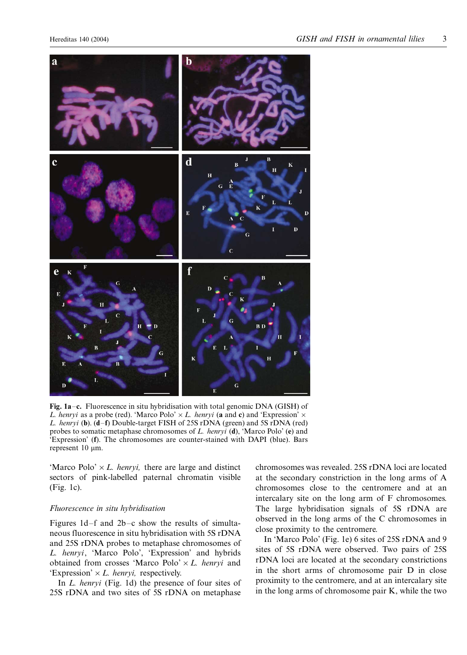

Fig. 1a-c. Fluorescence in situ hybridisation with total genomic DNA (GISH) of L. henryi as a probe (red). 'Marco Polo'  $\times$  L. henryi (a and c) and 'Expression'  $\times$ L. henryi (b). (d-f) Double-target FISH of 25S rDNA (green) and 5S rDNA (red) probes to somatic metaphase chromosomes of L. henryi  $(d)$ , 'Marco Polo'  $(e)$  and 'Expression' (f). The chromosomes are counter-stained with DAPI (blue). Bars represent  $10 \mu m$ .

'Marco Polo'  $\times$  L. henryi, there are large and distinct sectors of pink-labelled paternal chromatin visible (Fig. 1c).

### Fluorescence in situ hybridisation

Figures  $1d-f$  and  $2b-c$  show the results of simultaneous fluorescence in situ hybridisation with 5S rDNA and 25S rDNA probes to metaphase chromosomes of L. henryi, 'Marco Polo', 'Expression' and hybrids obtained from crosses 'Marco Polo'  $\times$  L. henryi and 'Expression'  $\times$  *L. henryi*, respectively.

In L. henryi (Fig. 1d) the presence of four sites of 25S rDNA and two sites of 5S rDNA on metaphase chromosomes was revealed. 25S rDNA loci are located at the secondary constriction in the long arms of A chromosomes close to the centromere and at an intercalary site on the long arm of F chromosomes. The large hybridisation signals of 5S rDNA are observed in the long arms of the C chromosomes in close proximity to the centromere.

In 'Marco Polo' (Fig. 1e) 6 sites of 25S rDNA and 9 sites of 5S rDNA were observed. Two pairs of 25S rDNA loci are located at the secondary constrictions in the short arms of chromosome pair D in close proximity to the centromere, and at an intercalary site in the long arms of chromosome pair K, while the two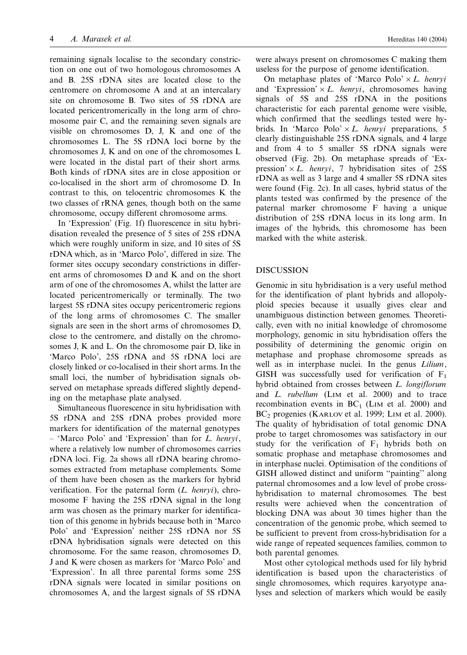remaining signals localise to the secondary constriction on one out of two homologous chromosomes A and B. 25S rDNA sites are located close to the centromere on chromosome A and at an intercalary site on chromosome B. Two sites of 5S rDNA are located pericentromerically in the long arm of chromosome pair C, and the remaining seven signals are visible on chromosomes D, J, K and one of the chromosomes L. The 5S rDNA loci borne by the chromosomes J, K and on one of the chromosomes L were located in the distal part of their short arms. Both kinds of rDNA sites are in close apposition or co-localised in the short arm of chromosome D. In contrast to this, on telocentric chromosomes K the two classes of rRNA genes, though both on the same chromosome, occupy different chromosome arms.

In 'Expression' (Fig. 1f) fluorescence in situ hybridisation revealed the presence of 5 sites of 25S rDNA which were roughly uniform in size, and 10 sites of 5S rDNA which, as in 'Marco Polo', differed in size. The former sites occupy secondary constrictions in different arms of chromosomes D and K and on the short arm of one of the chromosomes A, whilst the latter are located pericentromerically or terminally. The two largest 5S rDNA sites occupy pericentromeric regions of the long arms of chromosomes C. The smaller signals are seen in the short arms of chromosomes D, close to the centromere, and distally on the chromosomes J, K and L. On the chromosome pair D, like in 'Marco Polo', 25S rDNA and 5S rDNA loci are closely linked or co-localised in their short arms. In the small loci, the number of hybridisation signals observed on metaphase spreads differed slightly depending on the metaphase plate analysed.

Simultaneous fluorescence in situ hybridisation with 5S rDNA and 25S rDNA probes provided more markers for identification of the maternal genotypes - 'Marco Polo' and 'Expression' than for L. henryi, where a relatively low number of chromosomes carries rDNA loci. Fig. 2a shows all rDNA bearing chromosomes extracted from metaphase complements. Some of them have been chosen as the markers for hybrid verification. For the paternal form  $(L. henryi)$ , chromosome F having the 25S rDNA signal in the long arm was chosen as the primary marker for identification of this genome in hybrids because both in 'Marco Polo' and 'Expression' neither 25S rDNA nor 5S rDNA hybridisation signals were detected on this chromosome. For the same reason, chromosomes D, J and K were chosen as markers for 'Marco Polo' and 'Expression'. In all three parental forms some 25S rDNA signals were located in similar positions on chromosomes A, and the largest signals of 5S rDNA

were always present on chromosomes C making them useless for the purpose of genome identification.

On metaphase plates of 'Marco Polo'  $\times$  *L. henryi* and 'Expression'  $\times$  L. henryi, chromosomes having signals of 5S and 25S rDNA in the positions characteristic for each parental genome were visible, which confirmed that the seedlings tested were hybrids. In 'Marco Polo'  $\times$  L. henryi preparations, 5 clearly distinguishable 25S rDNA signals, and 4 large and from 4 to 5 smaller 5S rDNA signals were observed (Fig. 2b). On metaphase spreads of 'Expression'  $\times$  L. henryi, 7 hybridisation sites of 25S rDNA as well as 3 large and 4 smaller 5S rDNA sites were found (Fig. 2c). In all cases, hybrid status of the plants tested was confirmed by the presence of the paternal marker chromosome F having a unique distribution of 25S rDNA locus in its long arm. In images of the hybrids, this chromosome has been marked with the white asterisk.

## DISCUSSION

Genomic in situ hybridisation is a very useful method for the identification of plant hybrids and allopolyploid species because it usually gives clear and unambiguous distinction between genomes. Theoretically, even with no initial knowledge of chromosome morphology, genomic in situ hybridisation offers the possibility of determining the genomic origin on metaphase and prophase chromosome spreads as well as in interphase nuclei. In the genus Lilium, GISH was successfully used for verification of  $F_1$ hybrid obtained from crosses between L. longiflorum and L. rubellum (LIM et al. 2000) and to trace recombination events in  $BC<sub>1</sub>$  (LIM et al. 2000) and BC<sub>2</sub> progenies (KARLOV et al. 1999; LIM et al. 2000). The quality of hybridisation of total genomic DNA probe to target chromosomes was satisfactory in our study for the verification of  $F_1$  hybrids both on somatic prophase and metaphase chromosomes and in interphase nuclei. Optimisation of the conditions of GISH allowed distinct and uniform ''painting'' along paternal chromosomes and a low level of probe crosshybridisation to maternal chromosomes. The best results were achieved when the concentration of blocking DNA was about 30 times higher than the concentration of the genomic probe, which seemed to be sufficient to prevent from cross-hybridisation for a wide range of repeated sequences families, common to both parental genomes.

Most other cytological methods used for lily hybrid identification is based upon the characteristics of single chromosomes, which requires karyotype analyses and selection of markers which would be easily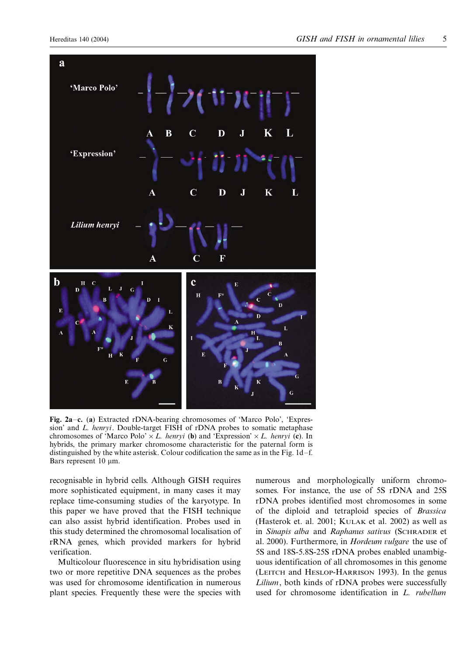

Fig. 2a-c. (a) Extracted rDNA-bearing chromosomes of 'Marco Polo', 'Expression' and L. henryi. Double-target FISH of rDNA probes to somatic metaphase chromosomes of 'Marco Polo'  $\times$  L. henryi (b) and 'Expression'  $\times$  L. henryi (c). In hybrids, the primary marker chromosome characteristic for the paternal form is distinguished by the white asterisk. Colour codification the same as in the Fig. 1d–f. Bars represent 10  $\mu$ m.

recognisable in hybrid cells. Although GISH requires more sophisticated equipment, in many cases it may replace time-consuming studies of the karyotype. In this paper we have proved that the FISH technique can also assist hybrid identification. Probes used in this study determined the chromosomal localisation of rRNA genes, which provided markers for hybrid verification.

Multicolour fluorescence in situ hybridisation using two or more repetitive DNA sequences as the probes was used for chromosome identification in numerous plant species. Frequently these were the species with numerous and morphologically uniform chromosomes. For instance, the use of 5S rDNA and 25S rDNA probes identified most chromosomes in some of the diploid and tetraploid species of Brassica (Hasterok et. al. 2001; KULAK et al. 2002) as well as in Sinapis alba and Raphanus sativus (SCHRADER et al. 2000). Furthermore, in Hordeum vulgare the use of 5S and 18S-5.8S-25S rDNA probes enabled unambiguous identification of all chromosomes in this genome (LEITCH and HESLOP-HARRISON 1993). In the genus Lilium, both kinds of rDNA probes were successfully used for chromosome identification in L. rubellum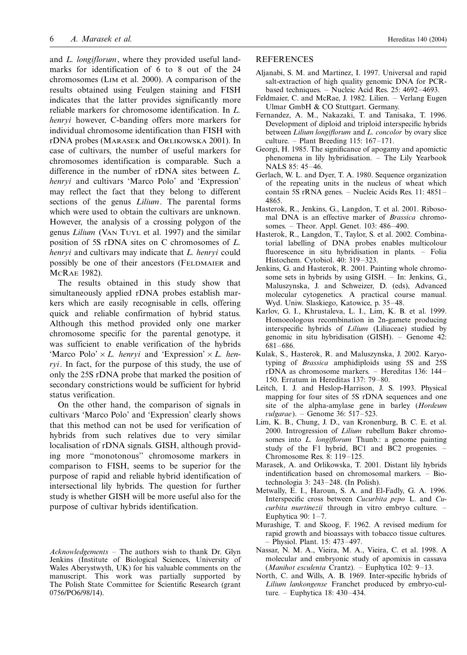and L. longiflorum, where they provided useful landmarks for identification of 6 to 8 out of the 24 chromosomes (LIM et al. 2000). A comparison of the results obtained using Feulgen staining and FISH indicates that the latter provides significantly more reliable markers for chromosome identification. In L. henryi however, C-banding offers more markers for individual chromosome identification than FISH with rDNA probes (MARASEK and ORLIKOWSKA 2001). In case of cultivars, the number of useful markers for chromosomes identification is comparable. Such a difference in the number of rDNA sites between L. henryi and cultivars 'Marco Polo' and 'Expression' may reflect the fact that they belong to different sections of the genus *Lilium*. The parental forms which were used to obtain the cultivars are unknown. However, the analysis of a crossing polygon of the genus Lilium (VAN TUYL et al. 1997) and the similar position of 5S rDNA sites on C chromosomes of L. henryi and cultivars may indicate that L. henryi could possibly be one of their ancestors (FELDMAIER and MCRAE 1982).

The results obtained in this study show that simultaneously applied rDNA probes establish markers which are easily recognisable in cells, offering quick and reliable confirmation of hybrid status. Although this method provided only one marker chromosome specific for the parental genotype, it was sufficient to enable verification of the hybrids 'Marco Polo'  $\times$  L. henryi and 'Expression'  $\times$  L. henryi. In fact, for the purpose of this study, the use of only the 25S rDNA probe that marked the position of secondary constrictions would be sufficient for hybrid status verification.

On the other hand, the comparison of signals in cultivars 'Marco Polo' and 'Expression' clearly shows that this method can not be used for verification of hybrids from such relatives due to very similar localisation of rDNA signals. GISH, although providing more ''monotonous'' chromosome markers in comparison to FISH, seems to be superior for the purpose of rapid and reliable hybrid identification of intersectional lily hybrids. The question for further study is whether GISH will be more useful also for the purpose of cultivar hybrids identification.

Acknowledgements - The authors wish to thank Dr. Glyn Jenkins (Institute of Biological Sciences, University of Wales Aberystwyth, UK) for his valuable comments on the manuscript. This work was partially supported by The Polish State Committee for Scientific Research (grant 0756/PO6/98/14).

# REFERENCES

- Aljanabi, S. M. and Martinez, I. 1997. Universal and rapid salt-extraction of high quality genomic DNA for PCRbased techniques. - Nucleic Acid Res. 25: 4692-4693.
- Feldmaier, C. and McRae, J. 1982. Lilien. Verlang Eugen Ulmar GmbH & CO Stuttgart. Germany.
- Fernandez, A. M., Nakazaki, T. and Tanisaka, T. 1996. Development of diploid and triploid interspecific hybrids between Lilium longiflorum and L. concolor by ovary slice culture.  $-$  Plant Breeding 115: 167 $-171$ .
- Georgi, H. 1985. The significance of apogamy and apomictic phenomena in lily hybridisation. - The Lily Yearbook NALS 85: 45–46.
- Gerlach, W. L. and Dyer, T. A. 1980. Sequence organization of the repeating units in the nucleus of wheat which contain 5S rRNA genes. - Nucleic Acids Res. 11: 4851-4865.
- Hasterok, R., Jenkins, G., Langdon, T. et al. 2001. Ribosomal DNA is an effective marker of Brassica chromosomes. – Theor. Appl. Genet. 103: 486–490.
- Hasterok, R., Langdon, T., Taylor, S. et al. 2002. Combinatorial labelling of DNA probes enables multicolour fluorescence in situ hybridisation in plants. – Folia Histochem. Cytobiol. 40: 319-323.
- Jenkins, G. and Hasterok, R. 2001. Painting whole chromosome sets in hybrids by using GISH. - In: Jenkins, G., Maluszynska, J. and Schweizer, D. (eds), Advanced molecular cytogenetics. A practical course manual. Wyd. Uniw. Slaskiego, Katowice, p. 35–48.
- Karlov, G. I., Khrustaleva, L. I., Lim, K. B. et al. 1999. Homoeologous recombination in 2n-gamete producing interspecific hybrids of *Lilium* (Liliaceae) studied by genomic in situ hybridisation (GISH). - Genome 42: 681-/686.
- Kulak, S., Hasterok, R. and Maluszynska, J. 2002. Karyotyping of Brassica amphidiploids using 5S and 25S rDNA as chromosome markers. – Hereditas 136: 144– 150. Erratum in Hereditas 137: 79-80.
- Leitch, I. J. and Heslop-Harrison, J. S. 1993. Physical mapping for four sites of 5S rDNA sequences and one site of the alpha-amylase gene in barley (Hordeum vulgarae). – Genome 36: 517–523.
- Lim, K. B., Chung, J. D., van Kronenburg, B. C. E. et al. 2000. Introgression of Lilium rubellum Baker chromosomes into *L. longiflorum* Thunb.: a genome painting study of the F1 hybrid, BC1 and BC2 progenies. -Chromosome Res. 8: 119–125.
- Marasek, A. and Orlikowska, T. 2001. Distant lily hybrids indentification based on chromosomal markers. - Biotechnologia 3: 243-248. (In Polish).
- Metwally, E. I., Haroun, S. A. and El-Fadly, G. A. 1996. Interspecific cross between Cucurbita pepo L. and Cucurbita martinezii through in vitro embryo culture. -Euphytica 90: 1-7.
- Murashige, T. and Skoog, F. 1962. A revised medium for rapid growth and bioassays with tobacco tissue cultures. - Physiol. Plant. 15: 473-497.
- Nassar, N. M. A., Vieira, M. A., Vieira, C. et al. 1998. A molecular and embryonic study of apomixis in cassava (Manihot esculenta Crantz). - Euphytica 102: 9-13.
- North, C. and Wills, A. B. 1969. Inter-specific hybrids of Lilium lankongense Franchet produced by embryo-culture. – Euphytica 18: 430–434.